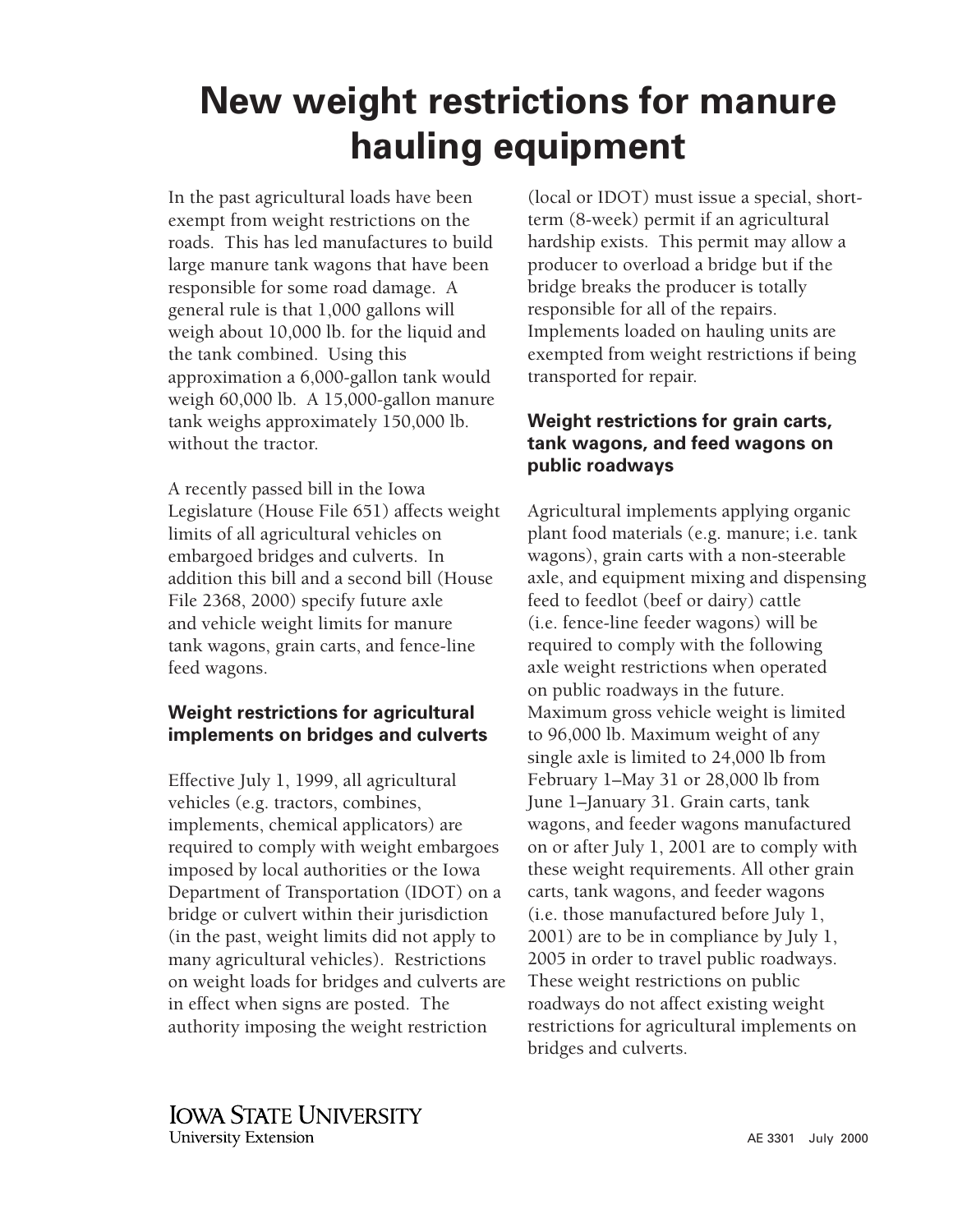## **New weight restrictions for manure hauling equipment**

In the past agricultural loads have been exempt from weight restrictions on the roads. This has led manufactures to build large manure tank wagons that have been responsible for some road damage. A general rule is that 1,000 gallons will weigh about 10,000 lb. for the liquid and the tank combined. Using this approximation a 6,000-gallon tank would weigh 60,000 lb. A 15,000-gallon manure tank weighs approximately 150,000 lb. without the tractor.

A recently passed bill in the Iowa Legislature (House File 651) affects weight limits of all agricultural vehicles on embargoed bridges and culverts. In addition this bill and a second bill (House File 2368, 2000) specify future axle and vehicle weight limits for manure tank wagons, grain carts, and fence-line feed wagons.

## **Weight restrictions for agricultural implements on bridges and culverts**

Effective July 1, 1999, all agricultural vehicles (e.g. tractors, combines, implements, chemical applicators) are required to comply with weight embargoes imposed by local authorities or the Iowa Department of Transportation (IDOT) on a bridge or culvert within their jurisdiction (in the past, weight limits did not apply to many agricultural vehicles). Restrictions on weight loads for bridges and culverts are in effect when signs are posted. The authority imposing the weight restriction

(local or IDOT) must issue a special, shortterm (8-week) permit if an agricultural hardship exists. This permit may allow a producer to overload a bridge but if the bridge breaks the producer is totally responsible for all of the repairs. Implements loaded on hauling units are exempted from weight restrictions if being transported for repair.

## **Weight restrictions for grain carts, tank wagons, and feed wagons on public roadways**

Agricultural implements applying organic plant food materials (e.g. manure; i.e. tank wagons), grain carts with a non-steerable axle, and equipment mixing and dispensing feed to feedlot (beef or dairy) cattle (i.e. fence-line feeder wagons) will be required to comply with the following axle weight restrictions when operated on public roadways in the future. Maximum gross vehicle weight is limited to 96,000 lb. Maximum weight of any single axle is limited to 24,000 lb from February 1–May 31 or 28,000 lb from June 1–January 31. Grain carts, tank wagons, and feeder wagons manufactured on or after July 1, 2001 are to comply with these weight requirements. All other grain carts, tank wagons, and feeder wagons (i.e. those manufactured before July 1, 2001) are to be in compliance by July 1, 2005 in order to travel public roadways. These weight restrictions on public roadways do not affect existing weight restrictions for agricultural implements on bridges and culverts.

**IOWA STATE UNIVERSITY** University Extension